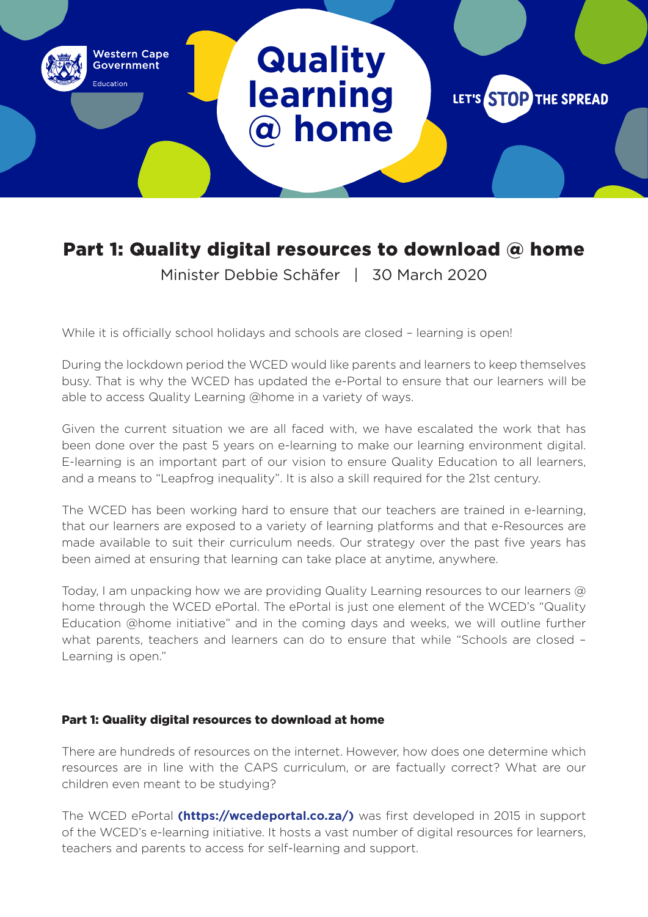# **Quality learning @ home**

**Western Cape** Government

-<br>ducation

LET'S STOP THE SPREAD

# Part 1: Quality digital resources to download @ home

Minister Debbie Schäfer | 30 March 2020

While it is officially school holidays and schools are closed - learning is open!

During the lockdown period the WCED would like parents and learners to keep themselves busy. That is why the WCED has updated the e-Portal to ensure that our learners will be able to access Quality Learning @home in a variety of ways.

Given the current situation we are all faced with, we have escalated the work that has been done over the past 5 years on e-learning to make our learning environment digital. E-learning is an important part of our vision to ensure Quality Education to all learners, and a means to "Leapfrog inequality". It is also a skill required for the 21st century.

The WCED has been working hard to ensure that our teachers are trained in e-learning, that our learners are exposed to a variety of learning platforms and that e-Resources are made available to suit their curriculum needs. Our strategy over the past five years has been aimed at ensuring that learning can take place at anytime, anywhere.

Today, I am unpacking how we are providing Quality Learning resources to our learners @ home through the WCED ePortal. The ePortal is just one element of the WCED's "Quality Education @home initiative" and in the coming days and weeks, we will outline further what parents, teachers and learners can do to ensure that while "Schools are closed – Learning is open."

#### Part 1: Quality digital resources to download at home

There are hundreds of resources on the internet. However, how does one determine which resources are in line with the CAPS curriculum, or are factually correct? What are our children even meant to be studying?

The WCED ePortal **(https://wcedeportal.co.za/)** was first developed in 2015 in support of the WCED's e-learning initiative. It hosts a vast number of digital resources for learners, teachers and parents to access for self-learning and support.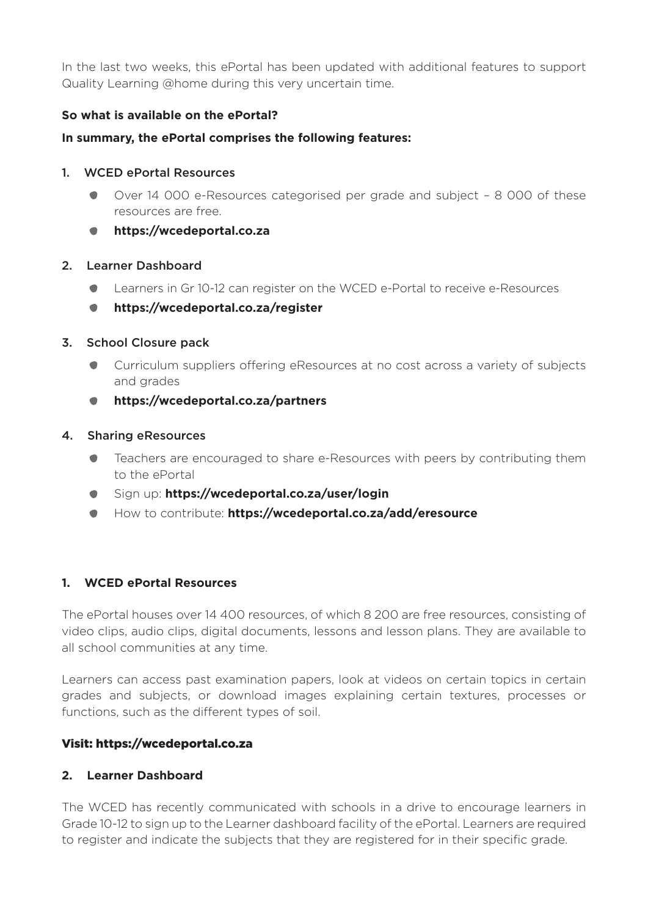In the last two weeks, this ePortal has been updated with additional features to support Quality Learning @home during this very uncertain time.

### **So what is available on the ePortal?**

#### **In summary, the ePortal comprises the following features:**

#### 1. WCED ePortal Resources

- Over 14 000 e-Resources categorised per grade and subject 8 000 of these resources are free.
- **https://wcedeportal.co.za**

#### 2. Learner Dashboard

- Learners in Gr 10-12 can register on the WCED e-Portal to receive e-Resources
- **https://wcedeportal.co.za/register**  $\bullet$

#### 3. School Closure pack

- Curriculum suppliers offering eResources at no cost across a variety of subjects and grades
- **https://wcedeportal.co.za/partners**

#### 4. Sharing eResources

- $\bullet$ Teachers are encouraged to share e-Resources with peers by contributing them to the ePortal
- Sign up: **https://wcedeportal.co.za/user/login**
- How to contribute: **https://wcedeportal.co.za/add/eresource**

#### **1. WCED ePortal Resources**

The ePortal houses over 14 400 resources, of which 8 200 are free resources, consisting of video clips, audio clips, digital documents, lessons and lesson plans. They are available to all school communities at any time.

Learners can access past examination papers, look at videos on certain topics in certain grades and subjects, or download images explaining certain textures, processes or functions, such as the different types of soil.

#### Visit: https://wcedeportal.co.za

#### **2. Learner Dashboard**

The WCED has recently communicated with schools in a drive to encourage learners in Grade 10-12 to sign up to the Learner dashboard facility of the ePortal. Learners are required to register and indicate the subjects that they are registered for in their specific grade.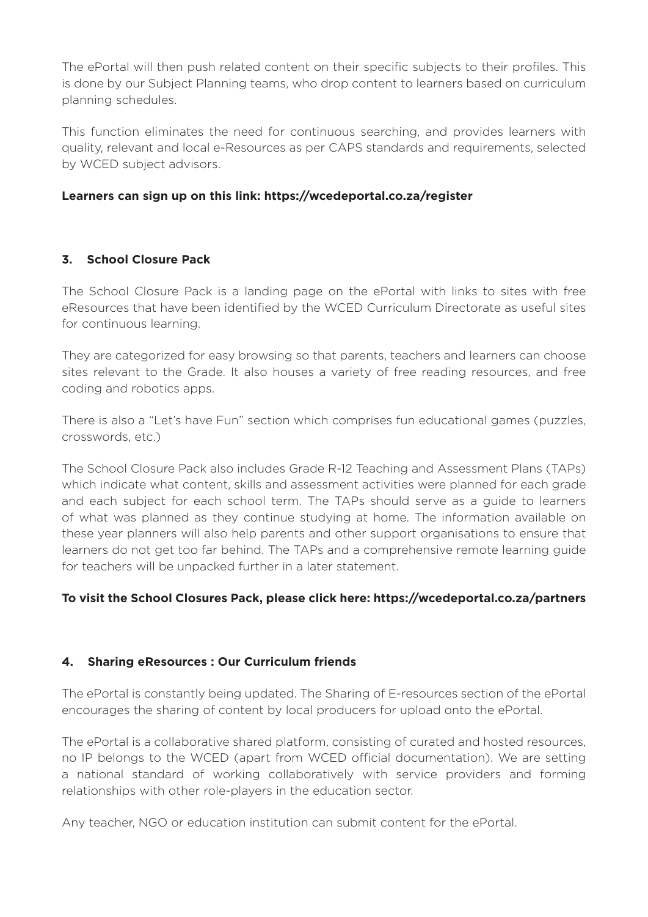The ePortal will then push related content on their specific subjects to their profiles. This is done by our Subject Planning teams, who drop content to learners based on curriculum planning schedules.

This function eliminates the need for continuous searching, and provides learners with quality, relevant and local e-Resources as per CAPS standards and requirements, selected by WCED subject advisors.

### **Learners can sign up on this link: https://wcedeportal.co.za/register**

## **3. School Closure Pack**

The School Closure Pack is a landing page on the ePortal with links to sites with free eResources that have been identified by the WCED Curriculum Directorate as useful sites for continuous learning.

They are categorized for easy browsing so that parents, teachers and learners can choose sites relevant to the Grade. It also houses a variety of free reading resources, and free coding and robotics apps.

There is also a "Let's have Fun" section which comprises fun educational games (puzzles, crosswords, etc.)

The School Closure Pack also includes Grade R-12 Teaching and Assessment Plans (TAPs) which indicate what content, skills and assessment activities were planned for each grade and each subject for each school term. The TAPs should serve as a guide to learners of what was planned as they continue studying at home. The information available on these year planners will also help parents and other support organisations to ensure that learners do not get too far behind. The TAPs and a comprehensive remote learning guide for teachers will be unpacked further in a later statement.

#### **To visit the School Closures Pack, please click here: https://wcedeportal.co.za/partners**

#### **4. Sharing eResources : Our Curriculum friends**

The ePortal is constantly being updated. The Sharing of E-resources section of the ePortal encourages the sharing of content by local producers for upload onto the ePortal.

The ePortal is a collaborative shared platform, consisting of curated and hosted resources, no IP belongs to the WCED (apart from WCED official documentation). We are setting a national standard of working collaboratively with service providers and forming relationships with other role-players in the education sector.

Any teacher, NGO or education institution can submit content for the ePortal.